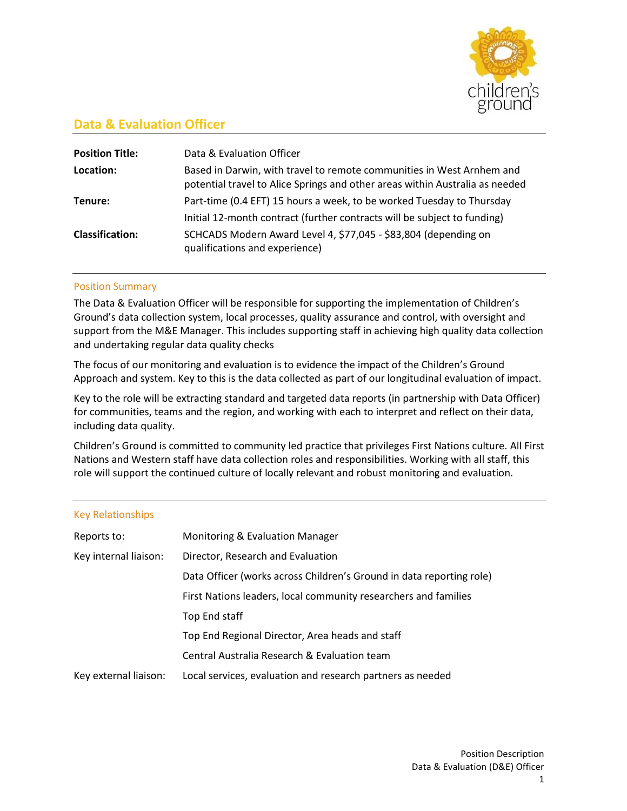

# **Data & Evaluation Officer**

| <b>Position Title:</b> | Data & Evaluation Officer                                                                                                                             |
|------------------------|-------------------------------------------------------------------------------------------------------------------------------------------------------|
| Location:              | Based in Darwin, with travel to remote communities in West Arnhem and<br>potential travel to Alice Springs and other areas within Australia as needed |
| Tenure:                | Part-time (0.4 EFT) 15 hours a week, to be worked Tuesday to Thursday                                                                                 |
|                        | Initial 12-month contract (further contracts will be subject to funding)                                                                              |
| <b>Classification:</b> | SCHCADS Modern Award Level 4, \$77,045 - \$83,804 (depending on<br>qualifications and experience)                                                     |

### Position Summary

The Data & Evaluation Officer will be responsible for supporting the implementation of Children's Ground's data collection system, local processes, quality assurance and control, with oversight and support from the M&E Manager. This includes supporting staff in achieving high quality data collection and undertaking regular data quality checks

The focus of our monitoring and evaluation is to evidence the impact of the Children's Ground Approach and system. Key to this is the data collected as part of our longitudinal evaluation of impact.

Key to the role will be extracting standard and targeted data reports (in partnership with Data Officer) for communities, teams and the region, and working with each to interpret and reflect on their data, including data quality.

Children's Ground is committed to community led practice that privileges First Nations culture. All First Nations and Western staff have data collection roles and responsibilities. Working with all staff, this role will support the continued culture of locally relevant and robust monitoring and evaluation.

#### Key Relationships

| Reports to:           | Monitoring & Evaluation Manager                                      |
|-----------------------|----------------------------------------------------------------------|
| Key internal liaison: | Director, Research and Evaluation                                    |
|                       | Data Officer (works across Children's Ground in data reporting role) |
|                       | First Nations leaders, local community researchers and families      |
|                       | Top End staff                                                        |
|                       | Top End Regional Director, Area heads and staff                      |
|                       | Central Australia Research & Evaluation team                         |
| Key external liaison: | Local services, evaluation and research partners as needed           |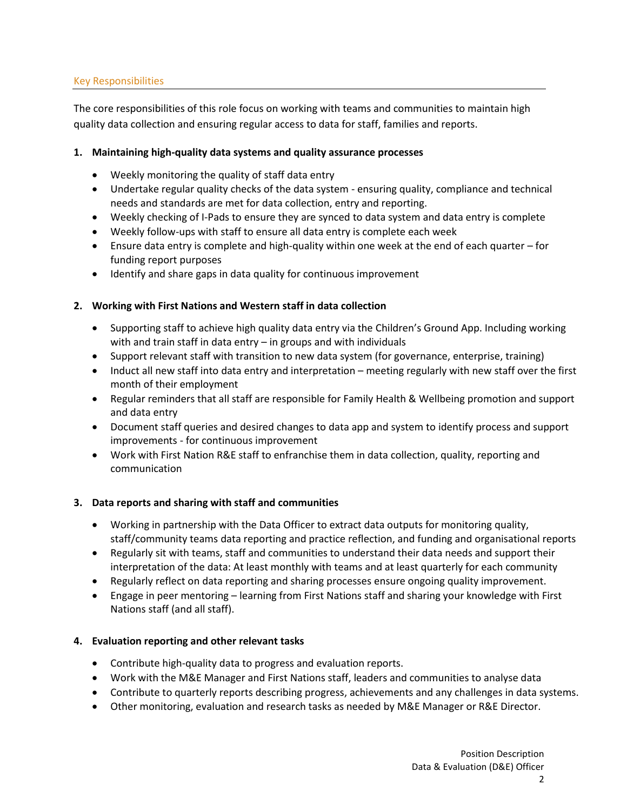### Key Responsibilities

The core responsibilities of this role focus on working with teams and communities to maintain high quality data collection and ensuring regular access to data for staff, families and reports.

### **1. Maintaining high-quality data systems and quality assurance processes**

- Weekly monitoring the quality of staff data entry
- Undertake regular quality checks of the data system ensuring quality, compliance and technical needs and standards are met for data collection, entry and reporting.
- Weekly checking of I-Pads to ensure they are synced to data system and data entry is complete
- Weekly follow-ups with staff to ensure all data entry is complete each week
- Ensure data entry is complete and high-quality within one week at the end of each quarter for funding report purposes
- Identify and share gaps in data quality for continuous improvement

### **2. Working with First Nations and Western staff in data collection**

- Supporting staff to achieve high quality data entry via the Children's Ground App. Including working with and train staff in data entry – in groups and with individuals
- Support relevant staff with transition to new data system (for governance, enterprise, training)
- Induct all new staff into data entry and interpretation meeting regularly with new staff over the first month of their employment
- Regular reminders that all staff are responsible for Family Health & Wellbeing promotion and support and data entry
- Document staff queries and desired changes to data app and system to identify process and support improvements - for continuous improvement
- Work with First Nation R&E staff to enfranchise them in data collection, quality, reporting and communication

### **3. Data reports and sharing with staff and communities**

- Working in partnership with the Data Officer to extract data outputs for monitoring quality, staff/community teams data reporting and practice reflection, and funding and organisational reports
- Regularly sit with teams, staff and communities to understand their data needs and support their interpretation of the data: At least monthly with teams and at least quarterly for each community
- Regularly reflect on data reporting and sharing processes ensure ongoing quality improvement.
- Engage in peer mentoring learning from First Nations staff and sharing your knowledge with First Nations staff (and all staff).

### **4. Evaluation reporting and other relevant tasks**

- Contribute high-quality data to progress and evaluation reports.
- Work with the M&E Manager and First Nations staff, leaders and communities to analyse data
- Contribute to quarterly reports describing progress, achievements and any challenges in data systems.
- Other monitoring, evaluation and research tasks as needed by M&E Manager or R&E Director.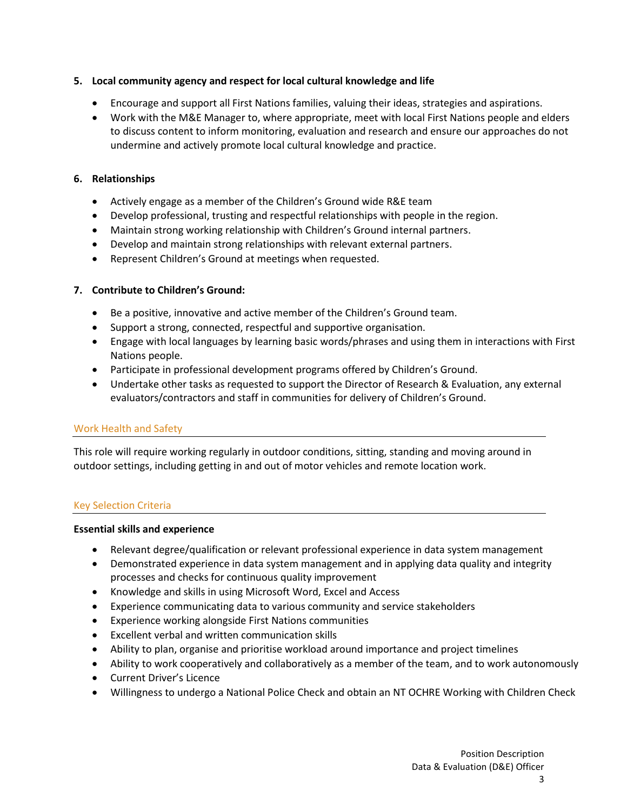# **5. Local community agency and respect for local cultural knowledge and life**

- Encourage and support all First Nations families, valuing their ideas, strategies and aspirations.
- Work with the M&E Manager to, where appropriate, meet with local First Nations people and elders to discuss content to inform monitoring, evaluation and research and ensure our approaches do not undermine and actively promote local cultural knowledge and practice.

### **6. Relationships**

- Actively engage as a member of the Children's Ground wide R&E team
- Develop professional, trusting and respectful relationships with people in the region.
- Maintain strong working relationship with Children's Ground internal partners.
- Develop and maintain strong relationships with relevant external partners.
- Represent Children's Ground at meetings when requested.

### **7. Contribute to Children's Ground:**

- Be a positive, innovative and active member of the Children's Ground team.
- Support a strong, connected, respectful and supportive organisation.
- Engage with local languages by learning basic words/phrases and using them in interactions with First Nations people.
- Participate in professional development programs offered by Children's Ground.
- Undertake other tasks as requested to support the Director of Research & Evaluation, any external evaluators/contractors and staff in communities for delivery of Children's Ground.

### Work Health and Safety

This role will require working regularly in outdoor conditions, sitting, standing and moving around in outdoor settings, including getting in and out of motor vehicles and remote location work.

### Key Selection Criteria

### **Essential skills and experience**

- Relevant degree/qualification or relevant professional experience in data system management
- Demonstrated experience in data system management and in applying data quality and integrity processes and checks for continuous quality improvement
- Knowledge and skills in using Microsoft Word, Excel and Access
- Experience communicating data to various community and service stakeholders
- Experience working alongside First Nations communities
- Excellent verbal and written communication skills
- Ability to plan, organise and prioritise workload around importance and project timelines
- Ability to work cooperatively and collaboratively as a member of the team, and to work autonomously
- Current Driver's Licence
- Willingness to undergo a National Police Check and obtain an NT OCHRE Working with Children Check